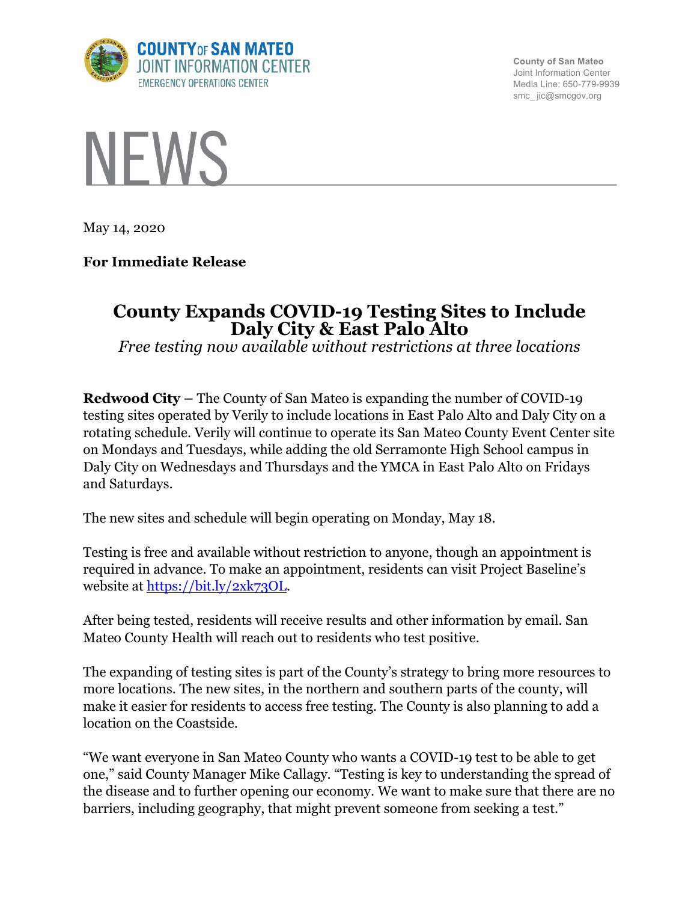

**County of San Mateo** Joint Information Center Media Line: 650-779-9939 smc\_ jic@smcgov.org



May 14, 2020

# **For Immediate Release**

# **County Expands COVID-19 Testing Sites to Include Daly City & East Palo Alto**

*Free testing now available without restrictions at three locations*

**Redwood City –** The County of San Mateo is expanding the number of COVID-19 testing sites operated by Verily to include locations in East Palo Alto and Daly City on a rotating schedule. Verily will continue to operate its San Mateo County Event Center site on Mondays and Tuesdays, while adding the old Serramonte High School campus in Daly City on Wednesdays and Thursdays and the YMCA in East Palo Alto on Fridays and Saturdays.

The new sites and schedule will begin operating on Monday, May 18.

Testing is free and available without restriction to anyone, though an appointment is required in advance. To make an appointment, residents can visit Project Baseline's website at https://bit.ly/2xk73OL.

After being tested, residents will receive results and other information by email. San Mateo County Health will reach out to residents who test positive.

The expanding of testing sites is part of the County's strategy to bring more resources to more locations. The new sites, in the northern and southern parts of the county, will make it easier for residents to access free testing. The County is also planning to add a location on the Coastside.

"We want everyone in San Mateo County who wants a COVID-19 test to be able to get one," said County Manager Mike Callagy. "Testing is key to understanding the spread of the disease and to further opening our economy. We want to make sure that there are no barriers, including geography, that might prevent someone from seeking a test."